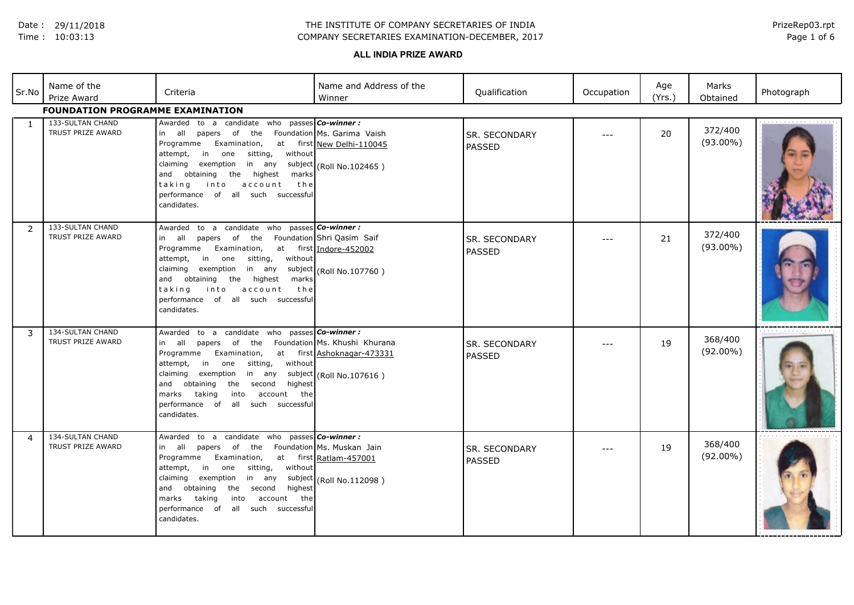Date : 29/11/2018

#### Time : 10:03:13

## COMPANY SECRETARIES EXAMINATION-DECEMBER, 2017 THE INSTITUTE OF COMPANY SECRETARIES OF INDIA

Page 1 of 6 PrizeRep03.rpt

# **ALL INDIA PRIZE AWARD**

| Sr.No | Name of the<br>Prize Award              | Criteria                                                                                                                                                                                                                                                                                                                                                 | Name and Address of the<br>Winner                                                | Qualification                  | Occupation | Age<br>(Yrs.) | Marks<br>Obtained      | Photograph |  |  |
|-------|-----------------------------------------|----------------------------------------------------------------------------------------------------------------------------------------------------------------------------------------------------------------------------------------------------------------------------------------------------------------------------------------------------------|----------------------------------------------------------------------------------|--------------------------------|------------|---------------|------------------------|------------|--|--|
|       | <b>FOUNDATION PROGRAMME EXAMINATION</b> |                                                                                                                                                                                                                                                                                                                                                          |                                                                                  |                                |            |               |                        |            |  |  |
| 1     | 133-SULTAN CHAND<br>TRUST PRIZE AWARD   | Awarded to a candidate who passes <b>Co-winner:</b><br>in all papers of the Foundation Ms. Garima Vaish<br>Examination,<br>Programme<br>sitting,<br>without<br>in one<br>attempt,<br>exemption<br>claiming<br>in any<br>and obtaining the highest<br>marks<br>taking<br>into<br>account<br>the<br>performance of all such successful<br>candidates.      | at first New Delhi-110045<br>subject (Roll No.102465)                            | SR. SECONDARY<br>PASSED        | $---$      | 20            | 372/400<br>$(93.00\%)$ |            |  |  |
| 2     | 133-SULTAN CHAND<br>TRUST PRIZE AWARD   | Awarded to a candidate who passes <b>Co-winner:</b><br>in all papers of the Foundation Shri Qasim Saif<br>Programme<br>Examination,<br>in one sitting,<br>without<br>attempt,<br>exemption<br>claiming<br>and obtaining the highest<br>marks<br>taking<br>into<br>account<br>the<br>performance of all such successful<br>candidates.                    | at first Indore-452002<br>in any subject (Roll No.107760)                        | <b>SR. SECONDARY</b><br>PASSED | ---        | 21            | 372/400<br>$(93.00\%)$ |            |  |  |
| 3     | 134-SULTAN CHAND<br>TRUST PRIZE AWARD   | Awarded to a candidate who passes Co-winner:<br>in all papers of the Foundation Ms. Khushi Khurana<br>Programme<br>Examination,<br>in one sitting,<br>attempt,<br>without<br>exemption<br>claiming<br>in any<br>highest<br>and obtaining<br>the second<br>marks<br>taking<br>into<br>account the<br>performance of<br>all such successful<br>candidates. | at first Ashoknagar-473331<br>subject (Roll No.107616)                           | <b>SR. SECONDARY</b><br>PASSED |            | 19            | 368/400<br>$(92.00\%)$ |            |  |  |
| 4     | 134-SULTAN CHAND<br>TRUST PRIZE AWARD   | Awarded to a candidate who passes Co-winner:<br>in all papers<br>the<br>of<br>Examination,<br>Programme<br>sitting,<br>without<br>attempt,<br>in<br>one<br>claiming<br>exemption<br>in any<br>and obtaining<br>highest<br>the<br>second<br>the<br>marks<br>taking<br>into<br>account<br>all such successful<br>performance<br>of<br>candidates.          | Foundation Ms. Muskan Jain<br>at first Ratlam-457001<br>subject (Roll No.112098) | <b>SR. SECONDARY</b><br>PASSED |            | 19            | 368/400<br>$(92.00\%)$ |            |  |  |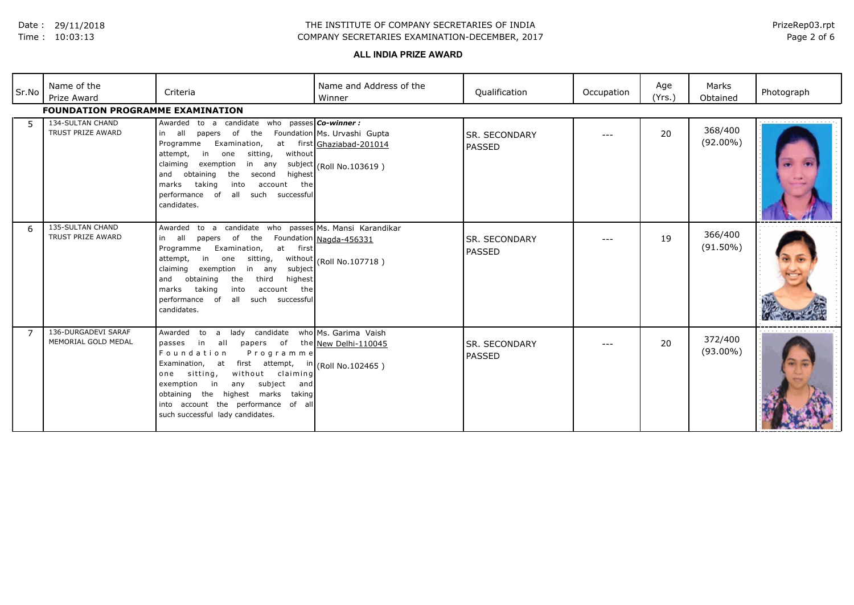Date : 29/11/2018

#### Time : 10:03:13

## COMPANY SECRETARIES EXAMINATION-DECEMBER, 2017 THE INSTITUTE OF COMPANY SECRETARIES OF INDIA

## Page 2 of 6 PrizeRep03.rpt

## **ALL INDIA PRIZE AWARD**

| Sr.No          | Name of the<br>Prize Award<br><b>FOUNDATION PROGRAMME EXAMINATION</b> | Criteria                                                                                                                                                                                                                                                                                                                                                                                                     | Name and Address of the<br>Winner                                                     | Qualification                         | Occupation | Age<br>(Yrs.) | Marks<br>Obtained      | Photograph |
|----------------|-----------------------------------------------------------------------|--------------------------------------------------------------------------------------------------------------------------------------------------------------------------------------------------------------------------------------------------------------------------------------------------------------------------------------------------------------------------------------------------------------|---------------------------------------------------------------------------------------|---------------------------------------|------------|---------------|------------------------|------------|
| -5             | 134-SULTAN CHAND<br>TRUST PRIZE AWARD                                 | Awarded to a candidate who passes <b>Co-winner:</b><br>in all papers of the<br>Examination,<br>Programme<br>sitting,<br>without<br>in<br>attempt,<br>one<br>claiming exemption<br>in any<br>obtaining<br>the<br>highest<br>and<br>second<br>marks<br>taking<br>into<br>account the<br>all such successful<br>performance of<br>candidates.                                                                   | Foundation Ms. Urvashi Gupta<br>at first Ghaziabad-201014<br>subject (Roll No.103619) | <b>SR. SECONDARY</b><br>PASSED        | $--$       | 20            | 368/400<br>$(92.00\%)$ |            |
| 6              | 135-SULTAN CHAND<br>TRUST PRIZE AWARD                                 | Awarded to a candidate who passes Ms. Mansi Karandikar<br>in all<br>papers of the<br>Examination,<br>Programme<br>at<br>first<br>in<br>sitting,<br>attempt,<br>one<br>claiming exemption in any<br>subject<br>obtaining<br>the<br>third<br>highest<br>and<br>marks<br>taking<br>into<br>account the<br>all such successful<br>performance of<br>candidates.                                                  | Foundation Nagda-456331<br>without (Roll No.107718)                                   | <b>SR. SECONDARY</b><br><b>PASSED</b> | $- - -$    | 19            | 366/400<br>$(91.50\%)$ |            |
| $\overline{7}$ | 136-DURGADEVI SARAF<br>MEMORIAL GOLD MEDAL                            | lady<br>candidate<br>Awarded<br>to<br>a a<br>in all<br>passes<br>papers of the New Delhi-110045<br>Foundation<br>Programme<br>Examination, at<br>first attempt, $\frac{\ln  R_0 }{\ln  R_0 }$ No.102465)<br>without claiming<br>one sitting,<br>subject<br>exemption<br>in<br>any<br>and<br>obtaining the highest marks<br>taking<br>into account the performance of all<br>such successful lady candidates. | who Ms. Garima Vaish                                                                  | <b>SR. SECONDARY</b><br>PASSED        | $---$      | 20            | 372/400<br>$(93.00\%)$ |            |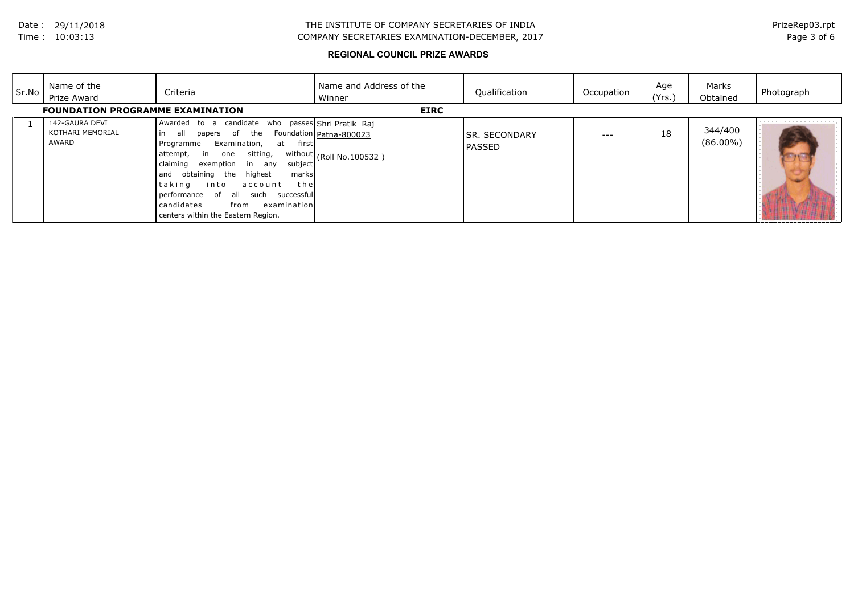## COMPANY SECRETARIES EXAMINATION-DECEMBER, 2017 THE INSTITUTE OF COMPANY SECRETARIES OF INDIA

## Page 3 of 6 PrizeRep03.rpt

## **REGIONAL COUNCIL PRIZE AWARDS**

| Sr.No | Name of the<br>Prize Award                  | Criteria                                                                                                                                                                                                                                                                                                                                                                                                                  | Name and Address of the<br>Winner                   | Qualification                         | Occupation | Age<br>(Yrs.) | Marks<br>Obtained      | Photograph |
|-------|---------------------------------------------|---------------------------------------------------------------------------------------------------------------------------------------------------------------------------------------------------------------------------------------------------------------------------------------------------------------------------------------------------------------------------------------------------------------------------|-----------------------------------------------------|---------------------------------------|------------|---------------|------------------------|------------|
|       | <b>FOUNDATION PROGRAMME EXAMINATION</b>     |                                                                                                                                                                                                                                                                                                                                                                                                                           | <b>EIRC</b>                                         |                                       |            |               |                        |            |
|       | 142-GAURA DEVI<br>KOTHARI MEMORIAL<br>AWARD | Awarded to a candidate who passes Shri Pratik Raj<br>the<br>in<br>all<br>papers of<br>Examination,<br>first<br>Programme<br>at<br>sitting,<br>in<br>attempt,<br>one on<br>claiming<br>exemption in any<br>subject<br>highest<br>and obtaining the<br>marks<br>taking<br>into<br>the<br>account<br>performance of<br>such<br>successful<br>all<br>candidates<br>examinationl<br>from<br>centers within the Eastern Region. | Foundation Patna-800023<br>without (Roll No.100532) | <b>SR. SECONDARY</b><br><b>PASSED</b> | $-- -$     | 18            | 344/400<br>$(86.00\%)$ |            |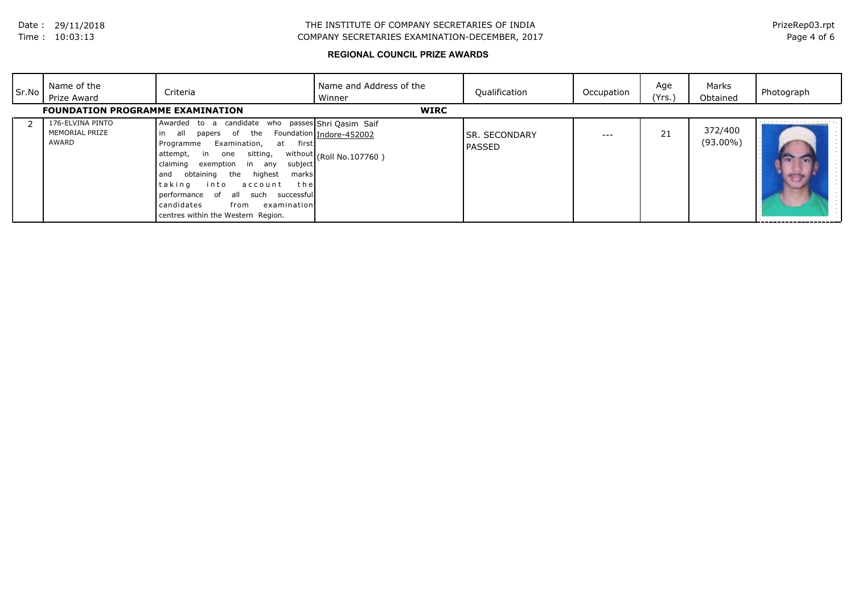## COMPANY SECRETARIES EXAMINATION-DECEMBER, 2017 THE INSTITUTE OF COMPANY SECRETARIES OF INDIA

## Page 4 of 6 PrizeRep03.rpt

## **REGIONAL COUNCIL PRIZE AWARDS**

| Sr.No | Name of the<br>Prize Award                  | Criteria                                                                                                                                                                                                                                                                                                                                                                                                                                                                                 | Name and Address of the<br>Winner                    | Qualification                   | Occupation | Age<br>(Yrs.) | Marks<br>Obtained      | Photograph |
|-------|---------------------------------------------|------------------------------------------------------------------------------------------------------------------------------------------------------------------------------------------------------------------------------------------------------------------------------------------------------------------------------------------------------------------------------------------------------------------------------------------------------------------------------------------|------------------------------------------------------|---------------------------------|------------|---------------|------------------------|------------|
|       | <b>FOUNDATION PROGRAMME EXAMINATION</b>     |                                                                                                                                                                                                                                                                                                                                                                                                                                                                                          | <b>WIRC</b>                                          |                                 |            |               |                        |            |
|       | 176-ELVINA PINTO<br>MEMORIAL PRIZE<br>AWARD | Awarded to a candidate who passes Shri Qasim Saif<br>the<br>in<br>all<br>$\overline{\phantom{a}}$ of $\overline{\phantom{a}}$<br>papers<br>Examination,<br>Programme<br>first<br>at<br>sitting,<br>in<br>attempt,<br>one<br>claiming<br>subject<br>exemption<br>in<br>any<br>highest<br>obtaining<br>the<br>marks<br>and<br>taking<br>into<br>the<br>account<br>performance of<br>such<br>successfull<br>all<br>candidates<br>examinationl<br>from<br>centres within the Western Region. | Foundation Indore-452002<br>without (Roll No.107760) | ISR. SECONDARY<br><b>PASSED</b> | $- - -$    | 21            | 372/400<br>$(93.00\%)$ |            |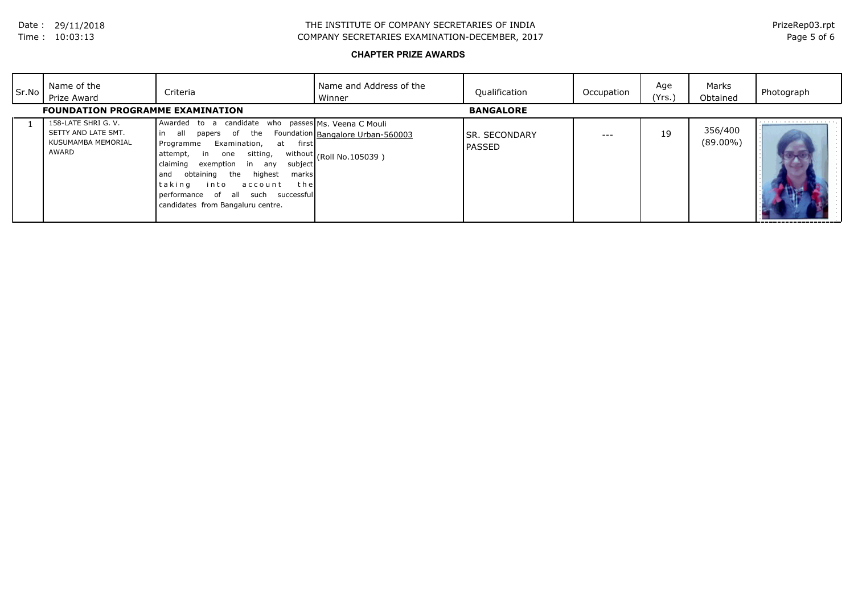## COMPANY SECRETARIES EXAMINATION-DECEMBER, 2017 THE INSTITUTE OF COMPANY SECRETARIES OF INDIA

Page 5 of 6 PrizeRep03.rpt

## **CHAPTER PRIZE AWARDS**

| Sr.No | Name of the<br>Prize Award                                                | Criteria                                                                                                                                                                                                                                                                                                                                                              | Name and Address of the<br>Winner                                                              | Qualification                   | Occupation | Age<br>(Yrs.) | Marks<br>Obtained      | Photograph |
|-------|---------------------------------------------------------------------------|-----------------------------------------------------------------------------------------------------------------------------------------------------------------------------------------------------------------------------------------------------------------------------------------------------------------------------------------------------------------------|------------------------------------------------------------------------------------------------|---------------------------------|------------|---------------|------------------------|------------|
|       | <b>FOUNDATION PROGRAMME EXAMINATION</b>                                   |                                                                                                                                                                                                                                                                                                                                                                       |                                                                                                | <b>BANGALORE</b>                |            |               |                        |            |
|       | 158-LATE SHRI G. V.<br>SETTY AND LATE SMT.<br>KUSUMAMBA MEMORIAL<br>AWARD | Awarded to a candidate<br>the<br>all<br>in<br>of<br>papers<br>first<br>Examination,<br>at<br>Programme<br>sitting,<br>in<br>attempt,<br>one<br>in<br>claiming<br>exemption<br>subject<br>any<br>obtaining<br>highest<br>the<br>marks<br>and<br>taking<br>into<br>the<br>account<br>performance of<br>successful<br>such<br>all -<br>candidates from Bangaluru centre. | who passes Ms. Veena C Mouli<br>Foundation Bangalore Urban-560003<br>without (Roll No.105039 ) | ISR. SECONDARY<br><b>PASSED</b> | ---        | 19            | 356/400<br>$(89.00\%)$ | Î.         |